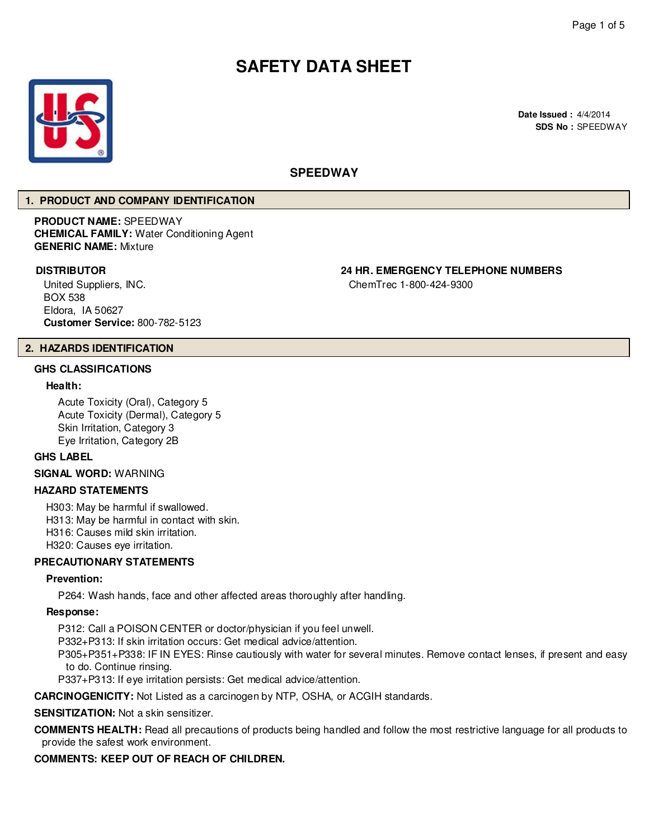# **SAFETY DATA SHEET**



# **SPEEDWAY**

ChemTrec 1-800-424-9300

### **1. PRODUCT AND COMPANY IDENTIFICATION**

**PRODUCT NAME:** SPEEDWAY **CHEMICAL FAMILY:** Water Conditioning Agent **GENERIC NAME:** Mixture

# **DISTRIBUTOR 24 HR. EMERGENCY TELEPHONE NUMBERS**

United Suppliers, INC. BOX 538 Eldora, IA 50627 **Customer Service:** 800-782-5123

# **2. HAZARDS IDENTIFICATION**

# **GHS CLASSIFICATIONS**

### **Health:**

Acute Toxicity (Oral), Category 5 Acute Toxicity (Dermal), Category 5 Skin Irritation, Category 3 Eye Irritation, Category 2B

# **GHS LABEL**

**SIGNAL WORD:** WARNING

### **HAZARD STATEMENTS**

H303: May be harmful if swallowed. H313: May be harmful in contact with skin. H316: Causes mild skin irritation. H320: Causes eye irritation.

### **PRECAUTIONARY STATEMENTS**

#### **Prevention:**

P264: Wash hands, face and other affected areas thoroughly after handling.

#### **Response:**

P312: Call a POISON CENTER or doctor/physician if you feel unwell.

P332+P313: If skin irritation occurs: Get medical advice/attention.

P305+P351+P338: IF IN EYES: Rinse cautiously with water for several minutes. Remove contact lenses, if present and easy to do. Continue rinsing.

P337+P313: If eye irritation persists: Get medical advice/attention.

**CARCINOGENICITY:** Not Listed as a carcinogen by NTP, OSHA, or ACGIH standards.

### **SENSITIZATION:** Not a skin sensitizer.

**COMMENTS HEALTH:** Read all precautions of products being handled and follow the most restrictive language for all products to provide the safest work environment.

# **COMMENTS: KEEP OUT OF REACH OF CHILDREN.**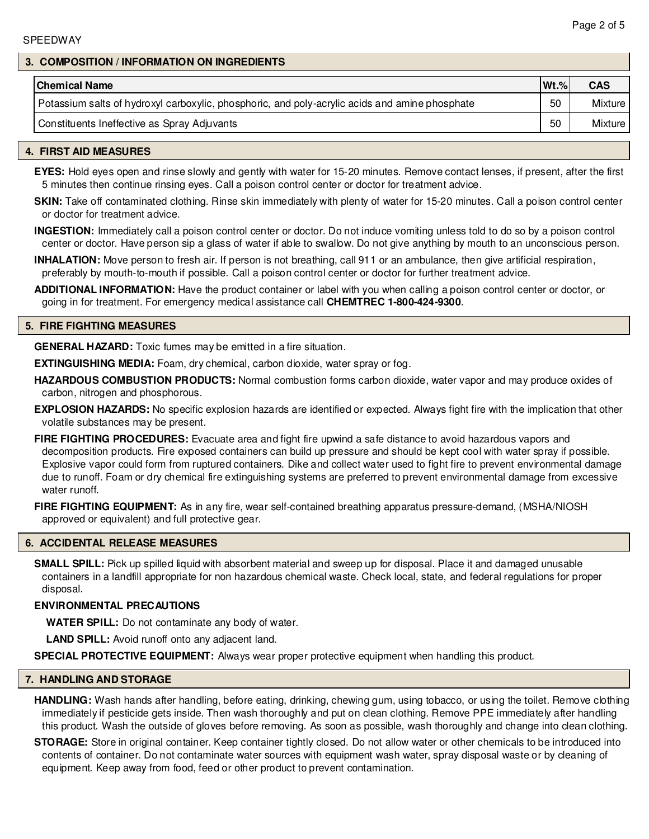### **3. COMPOSITION / INFORMATION ON INGREDIENTS**

| <b>Chemical Name</b>                                                                           | $Wt.$ % | <b>CAS</b> |
|------------------------------------------------------------------------------------------------|---------|------------|
| Potassium salts of hydroxyl carboxylic, phosphoric, and poly-acrylic acids and amine phosphate | 50      | Mixture    |
| Constituents Ineffective as Spray Adjuvants                                                    | 50      | Mixture I  |

### **4. FIRST AID MEASURES**

**EYES:** Hold eyes open and rinse slowly and gently with water for 15-20 minutes. Remove contact lenses, if present, after the first 5 minutes then continue rinsing eyes. Call a poison control center or doctor for treatment advice.

**SKIN:** Take off contaminated clothing. Rinse skin immediately with plenty of water for 15-20 minutes. Call a poison control center or doctor for treatment advice.

**INGESTION:** Immediately call a poison control center or doctor. Do not induce vomiting unless told to do so by a poison control center or doctor. Have person sip a glass of water if able to swallow. Do not give anything by mouth to an unconscious person.

**INHALATION:** Move person to fresh air. If person is not breathing, call 911 or an ambulance, then give artificial respiration, preferably by mouth-to-mouth if possible. Call a poison control center or doctor for further treatment advice.

**ADDITIONAL INFORMATION:** Have the product container or label with you when calling a poison control center or doctor, or going in for treatment. For emergency medical assistance call **CHEMTREC 1-800-424-9300**.

### **5. FIRE FIGHTING MEASURES**

**GENERAL HAZARD:** Toxic fumes may be emitted in a fire situation.

**EXTINGUISHING MEDIA:** Foam, dry chemical, carbon dioxide, water spray or fog.

**HAZARDOUS COMBUSTION PRODUCTS:** Normal combustion forms carbon dioxide, water vapor and may produce oxides of carbon, nitrogen and phosphorous.

**EXPLOSION HAZARDS:** No specific explosion hazards are identified or expected. Always fight fire with the implication that other volatile substances may be present.

**FIRE FIGHTING PROCEDURES:** Evacuate area and fight fire upwind a safe distance to avoid hazardous vapors and decomposition products. Fire exposed containers can build up pressure and should be kept cool with water spray if possible. Explosive vapor could form from ruptured containers. Dike and collect water used to fight fire to prevent environmental damage due to runoff. Foam or dry chemical fire extinguishing systems are preferred to prevent environmental damage from excessive water runoff.

**FIRE FIGHTING EQUIPMENT:** As in any fire, wear self-contained breathing apparatus pressure-demand, (MSHA/NIOSH approved or equivalent) and full protective gear.

### **6. ACCIDENTAL RELEASE MEASURES**

**SMALL SPILL:** Pick up spilled liquid with absorbent material and sweep up for disposal. Place it and damaged unusable containers in a landfill appropriate for non hazardous chemical waste. Check local, state, and federal regulations for proper disposal.

#### **ENVIRONMENTAL PRECAUTIONS**

**WATER SPILL:** Do not contaminate any body of water.

**LAND SPILL:** Avoid runoff onto any adjacent land.

**SPECIAL PROTECTIVE EQUIPMENT:** Always wear proper protective equipment when handling this product.

### **7. HANDLING AND STORAGE**

**HANDLING:** Wash hands after handling, before eating, drinking, chewing gum, using tobacco, or using the toilet. Remove clothing immediately if pesticide gets inside. Then wash thoroughly and put on clean clothing. Remove PPE immediately after handling this product. Wash the outside of gloves before removing. As soon as possible, wash thoroughly and change into clean clothing.

**STORAGE:** Store in original container. Keep container tightly closed. Do not allow water or other chemicals to be introduced into contents of container. Do not contaminate water sources with equipment wash water, spray disposal waste or by cleaning of equipment. Keep away from food, feed or other product to prevent contamination.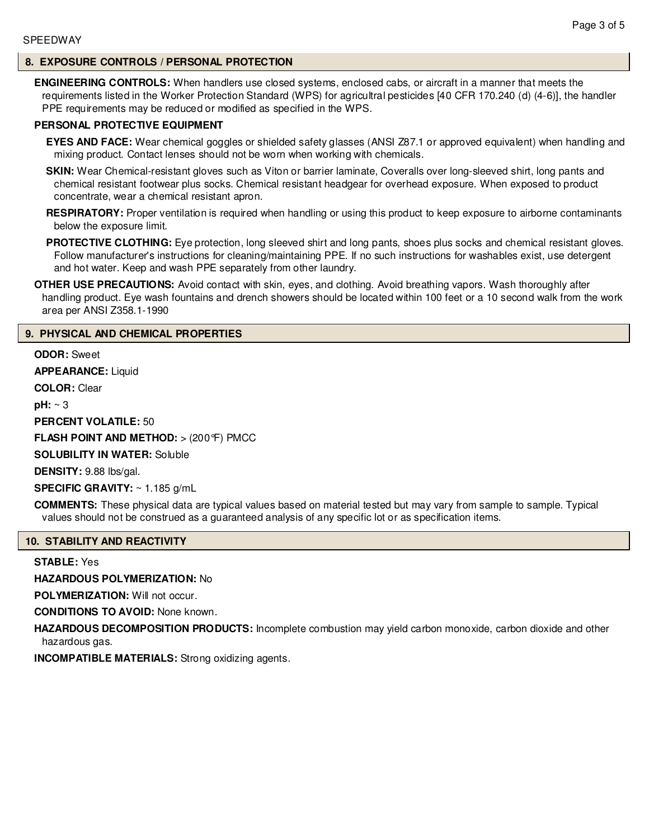# **8. EXPOSURE CONTROLS / PERSONAL PROTECTION**

**ENGINEERING CONTROLS:** When handlers use closed systems, enclosed cabs, or aircraft in a manner that meets the requirements listed in the Worker Protection Standard (WPS) for agricultral pesticides [40 CFR 170.240 (d) (4-6)], the handler PPE requirements may be reduced or modified as specified in the WPS.

# **PERSONAL PROTECTIVE EQUIPMENT**

**EYES AND FACE:** Wear chemical goggles or shielded safety glasses (ANSI Z87.1 or approved equivalent) when handling and mixing product. Contact lenses should not be worn when working with chemicals.

**SKIN:** Wear Chemical-resistant gloves such as Viton or barrier laminate, Coveralls over long-sleeved shirt, long pants and chemical resistant footwear plus socks. Chemical resistant headgear for overhead exposure. When exposed to product concentrate, wear a chemical resistant apron.

**RESPIRATORY:** Proper ventilation is required when handling or using this product to keep exposure to airborne contaminants below the exposure limit.

**PROTECTIVE CLOTHING:** Eye protection, long sleeved shirt and long pants, shoes plus socks and chemical resistant gloves. Follow manufacturer's instructions for cleaning/maintaining PPE. If no such instructions for washables exist, use detergent and hot water. Keep and wash PPE separately from other laundry.

**OTHER USE PRECAUTIONS:** Avoid contact with skin, eyes, and clothing. Avoid breathing vapors. Wash thoroughly after handling product. Eye wash fountains and drench showers should be located within 100 feet or a 10 second walk from the work area per ANSI Z358.1-1990

### **9. PHYSICAL AND CHEMICAL PROPERTIES**

**ODOR:** Sweet

**APPEARANCE:** Liquid

**COLOR:** Clear

**pH:** ~ 3

**PERCENT VOLATILE:** 50

**FLASH POINT AND METHOD:** > (200°F) PMCC

**SOLUBILITY IN WATER:** Soluble

**DENSITY:** 9.88 lbs/gal.

**SPECIFIC GRAVITY:** ~ 1.185 g/mL

**COMMENTS:** These physical data are typical values based on material tested but may vary from sample to sample. Typical values should not be construed as a guaranteed analysis of any specific lot or as specification items.

#### **10. STABILITY AND REACTIVITY**

**STABLE:** Yes

**HAZARDOUS POLYMERIZATION:** No

**POLYMERIZATION:** Will not occur.

**CONDITIONS TO AVOID:** None known.

**HAZARDOUS DECOMPOSITION PRODUCTS:** Incomplete combustion may yield carbon monoxide, carbon dioxide and other hazardous gas.

**INCOMPATIBLE MATERIALS:** Strong oxidizing agents.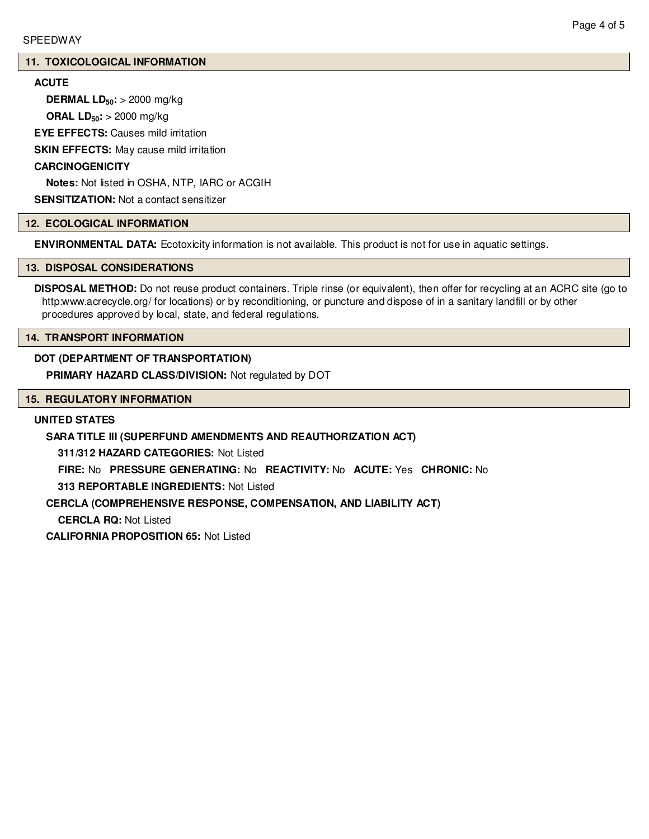### **11. TOXICOLOGICAL INFORMATION**

# **ACUTE**

**DERMAL LD50:** > 2000 mg/kg

**ORAL LD50:** > 2000 mg/kg

**EYE EFFECTS:** Causes mild irritation

**SKIN EFFECTS:** May cause mild irritation

## **CARCINOGENICITY**

**Notes:** Not listed in OSHA, NTP, IARC or ACGIH

**SENSITIZATION:** Not a contact sensitizer

## **12. ECOLOGICAL INFORMATION**

**ENVIRONMENTAL DATA:** Ecotoxicity information is not available. This product is not for use in aquatic settings.

## **13. DISPOSAL CONSIDERATIONS**

**DISPOSAL METHOD:** Do not reuse product containers. Triple rinse (or equivalent), then offer for recycling at an ACRC site (go to http:www.acrecycle.org/ for locations) or by reconditioning, or puncture and dispose of in a sanitary landfill or by other procedures approved by local, state, and federal regulations.

# **14. TRANSPORT INFORMATION**

## **DOT (DEPARTMENT OF TRANSPORTATION)**

**PRIMARY HAZARD CLASS/DIVISION:** Not regulated by DOT

# **15. REGULATORY INFORMATION**

### **UNITED STATES**

# **SARA TITLE III (SUPERFUND AMENDMENTS AND REAUTHORIZATION ACT)**

**311/312 HAZARD CATEGORIES:** Not Listed

**FIRE:** No **PRESSURE GENERATING:** No **REACTIVITY:** No **ACUTE:** Yes **CHRONIC:** No

**313 REPORTABLE INGREDIENTS:** Not Listed

# **CERCLA (COMPREHENSIVE RESPONSE, COMPENSATION, AND LIABILITY ACT)**

**CERCLA RQ:** Not Listed

**CALIFORNIA PROPOSITION 65:** Not Listed